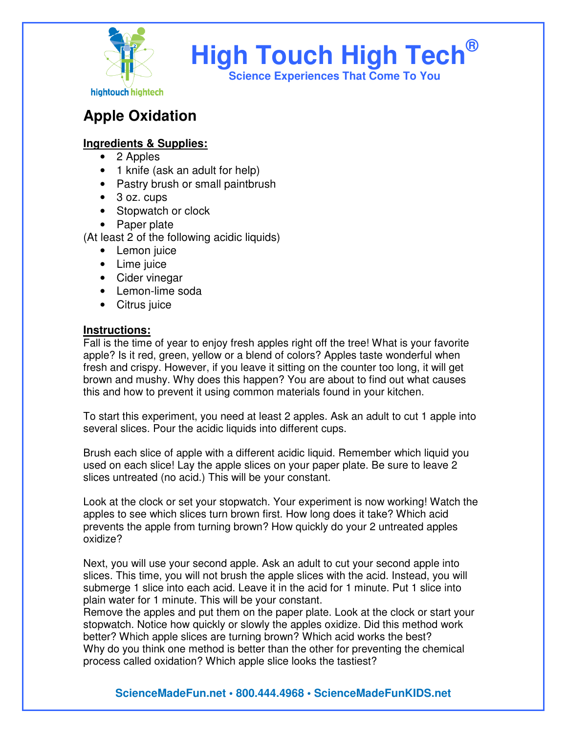

# **High Touch High Tech®**

**Science Experiences That Come To You** 

# **Apple Oxidation**

## **Ingredients & Supplies:**

- 2 Apples
- 1 knife (ask an adult for help)
- Pastry brush or small paintbrush
- 3 oz. cups
- Stopwatch or clock
- Paper plate

(At least 2 of the following acidic liquids)

- Lemon juice
- Lime juice
- Cider vinegar
- Lemon-lime soda
- Citrus juice

### **Instructions:**

Fall is the time of year to enjoy fresh apples right off the tree! What is your favorite apple? Is it red, green, yellow or a blend of colors? Apples taste wonderful when fresh and crispy. However, if you leave it sitting on the counter too long, it will get brown and mushy. Why does this happen? You are about to find out what causes this and how to prevent it using common materials found in your kitchen.

To start this experiment, you need at least 2 apples. Ask an adult to cut 1 apple into several slices. Pour the acidic liquids into different cups.

Brush each slice of apple with a different acidic liquid. Remember which liquid you used on each slice! Lay the apple slices on your paper plate. Be sure to leave 2 slices untreated (no acid.) This will be your constant.

Look at the clock or set your stopwatch. Your experiment is now working! Watch the apples to see which slices turn brown first. How long does it take? Which acid prevents the apple from turning brown? How quickly do your 2 untreated apples oxidize?

Next, you will use your second apple. Ask an adult to cut your second apple into slices. This time, you will not brush the apple slices with the acid. Instead, you will submerge 1 slice into each acid. Leave it in the acid for 1 minute. Put 1 slice into plain water for 1 minute. This will be your constant.

Remove the apples and put them on the paper plate. Look at the clock or start your stopwatch. Notice how quickly or slowly the apples oxidize. Did this method work better? Which apple slices are turning brown? Which acid works the best? Why do you think one method is better than the other for preventing the chemical process called oxidation? Which apple slice looks the tastiest?